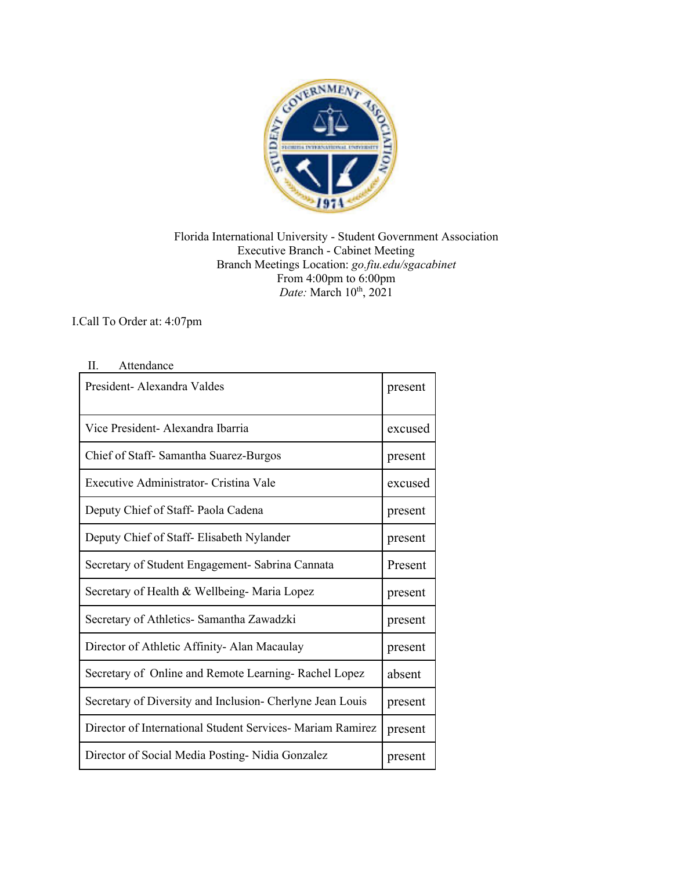

Florida International University - Student Government Association Executive Branch - Cabinet Meeting Branch Meetings Location: *go.fiu.edu/sgacabinet* From 4:00pm to 6:00pm *Date:* March 10<sup>th</sup>, 2021

## I.Call To Order at: 4:07pm

## II. Attendance

| President-Alexandra Valdes                                 | present |
|------------------------------------------------------------|---------|
| Vice President- Alexandra Ibarria                          | excused |
| Chief of Staff- Samantha Suarez-Burgos                     | present |
| Executive Administrator- Cristina Vale                     | excused |
| Deputy Chief of Staff- Paola Cadena                        | present |
| Deputy Chief of Staff-Elisabeth Nylander                   | present |
| Secretary of Student Engagement- Sabrina Cannata           | Present |
| Secretary of Health & Wellbeing- Maria Lopez               | present |
| Secretary of Athletics- Samantha Zawadzki                  | present |
| Director of Athletic Affinity-Alan Macaulay                | present |
| Secretary of Online and Remote Learning-Rachel Lopez       | absent  |
| Secretary of Diversity and Inclusion- Cherlyne Jean Louis  | present |
| Director of International Student Services- Mariam Ramirez | present |
| Director of Social Media Posting - Nidia Gonzalez          | present |